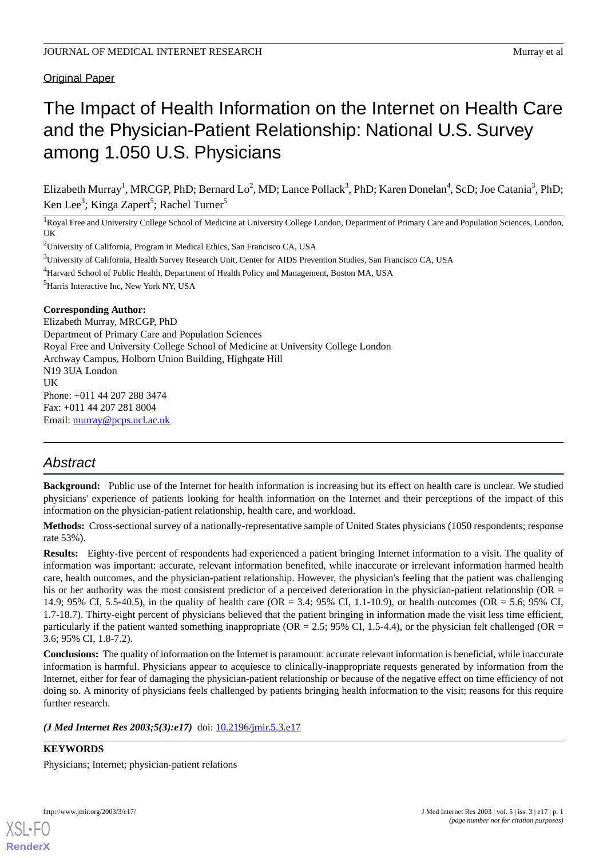# Original Paper

# The Impact of Health Information on the Internet on Health Care and the Physician-Patient Relationship: National U.S. Survey among 1.050 U.S. Physicians

Elizabeth Murray<sup>1</sup>, MRCGP, PhD; Bernard Lo<sup>2</sup>, MD; Lance Pollack<sup>3</sup>, PhD; Karen Donelan<sup>4</sup>, ScD; Joe Catania<sup>3</sup>, PhD; Ken Lee<sup>3</sup>; Kinga Zapert<sup>5</sup>; Rachel Turner<sup>5</sup>

<sup>1</sup>Royal Free and University College School of Medicine at University College London, Department of Primary Care and Population Sciences, London, UK

<sup>2</sup>University of California, Program in Medical Ethics, San Francisco CA, USA

<sup>3</sup>University of California, Health Survey Research Unit, Center for AIDS Prevention Studies, San Francisco CA, USA

<sup>4</sup>Harvard School of Public Health, Department of Health Policy and Management, Boston MA, USA

<sup>5</sup>Harris Interactive Inc, New York NY, USA

#### **Corresponding Author:**

Elizabeth Murray, MRCGP, PhD Department of Primary Care and Population Sciences Royal Free and University College School of Medicine at University College London Archway Campus, Holborn Union Building, Highgate Hill N19 3UA London UK Phone: +011 44 207 288 3474 Fax: +011 44 207 281 8004 Email: [murray@pcps.ucl.ac.uk](mailto:murray@pcps.ucl.ac.uk)

# *Abstract*

**Background:** Public use of the Internet for health information is increasing but its effect on health care is unclear. We studied physicians' experience of patients looking for health information on the Internet and their perceptions of the impact of this information on the physician-patient relationship, health care, and workload.

**Methods:** Cross-sectional survey of a nationally-representative sample of United States physicians (1050 respondents; response rate 53%).

**Results:** Eighty-five percent of respondents had experienced a patient bringing Internet information to a visit. The quality of information was important: accurate, relevant information benefited, while inaccurate or irrelevant information harmed health care, health outcomes, and the physician-patient relationship. However, the physician's feeling that the patient was challenging his or her authority was the most consistent predictor of a perceived deterioration in the physician-patient relationship (OR = 14.9; 95% CI, 5.5-40.5), in the quality of health care (OR = 3.4; 95% CI, 1.1-10.9), or health outcomes (OR = 5.6; 95% CI, 1.7-18.7). Thirty-eight percent of physicians believed that the patient bringing in information made the visit less time efficient, particularly if the patient wanted something inappropriate ( $OR = 2.5$ ; 95% CI, 1.5-4.4), or the physician felt challenged ( $OR = 2.5$ ) 3.6; 95% CI, 1.8-7.2).

**Conclusions:** The quality of information on the Internet is paramount: accurate relevant information is beneficial, while inaccurate information is harmful. Physicians appear to acquiesce to clinically-inappropriate requests generated by information from the Internet, either for fear of damaging the physician-patient relationship or because of the negative effect on time efficiency of not doing so. A minority of physicians feels challenged by patients bringing health information to the visit; reasons for this require further research.

*(J Med Internet Res 2003;5(3):e17)* doi: **[10.2196/jmir.5.3.e17](http://dx.doi.org/10.2196/jmir.5.3.e17)** 

**KEYWORDS** Physicians; Internet; physician-patient relations

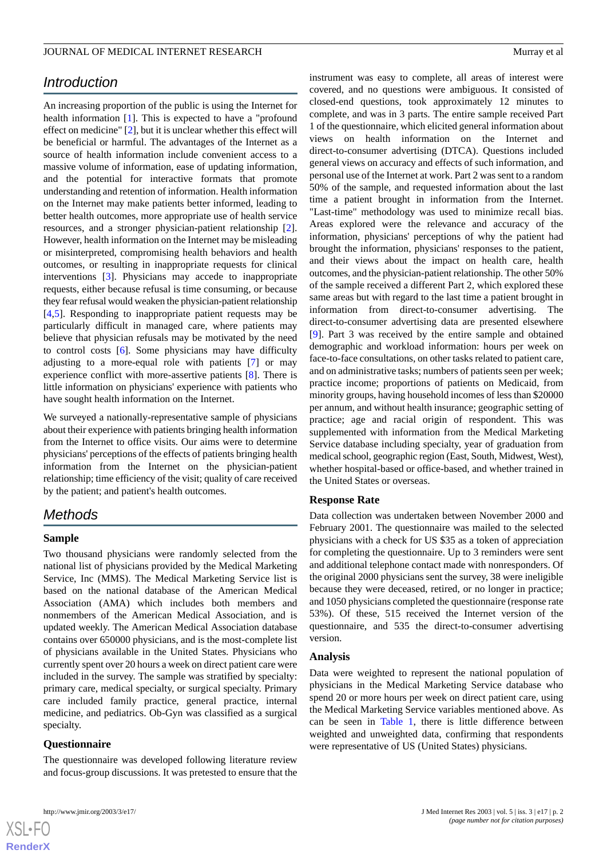# *Introduction*

An increasing proportion of the public is using the Internet for health information [[1\]](#page-9-0). This is expected to have a "profound effect on medicine" [\[2](#page-10-0)], but it is unclear whether this effect will be beneficial or harmful. The advantages of the Internet as a source of health information include convenient access to a massive volume of information, ease of updating information, and the potential for interactive formats that promote understanding and retention of information. Health information on the Internet may make patients better informed, leading to better health outcomes, more appropriate use of health service resources, and a stronger physician-patient relationship [[2\]](#page-10-0). However, health information on the Internet may be misleading or misinterpreted, compromising health behaviors and health outcomes, or resulting in inappropriate requests for clinical interventions [[3\]](#page-10-1). Physicians may accede to inappropriate requests, either because refusal is time consuming, or because they fear refusal would weaken the physician-patient relationship [[4](#page-10-2)[,5](#page-10-3)]. Responding to inappropriate patient requests may be particularly difficult in managed care, where patients may believe that physician refusals may be motivated by the need to control costs [[6](#page-10-4)]. Some physicians may have difficulty adjusting to a more-equal role with patients [[7\]](#page-10-5) or may experience conflict with more-assertive patients [[8\]](#page-10-6). There is little information on physicians' experience with patients who have sought health information on the Internet.

We surveyed a nationally-representative sample of physicians about their experience with patients bringing health information from the Internet to office visits. Our aims were to determine physicians' perceptions of the effects of patients bringing health information from the Internet on the physician-patient relationship; time efficiency of the visit; quality of care received by the patient; and patient's health outcomes.

# *Methods*

#### **Sample**

Two thousand physicians were randomly selected from the national list of physicians provided by the Medical Marketing Service, Inc (MMS). The Medical Marketing Service list is based on the national database of the American Medical Association (AMA) which includes both members and nonmembers of the American Medical Association, and is updated weekly. The American Medical Association database contains over 650000 physicians, and is the most-complete list of physicians available in the United States. Physicians who currently spent over 20 hours a week on direct patient care were included in the survey. The sample was stratified by specialty: primary care, medical specialty, or surgical specialty. Primary care included family practice, general practice, internal medicine, and pediatrics. Ob-Gyn was classified as a surgical specialty.

### **Questionnaire**

The questionnaire was developed following literature review and focus-group discussions. It was pretested to ensure that the

```
the United States or overseas.
```
# **Response Rate**

Data collection was undertaken between November 2000 and February 2001. The questionnaire was mailed to the selected physicians with a check for US \$35 as a token of appreciation for completing the questionnaire. Up to 3 reminders were sent and additional telephone contact made with nonresponders. Of the original 2000 physicians sent the survey, 38 were ineligible because they were deceased, retired, or no longer in practice; and 1050 physicians completed the questionnaire (response rate 53%). Of these, 515 received the Internet version of the questionnaire, and 535 the direct-to-consumer advertising version.

instrument was easy to complete, all areas of interest were covered, and no questions were ambiguous. It consisted of closed-end questions, took approximately 12 minutes to complete, and was in 3 parts. The entire sample received Part 1 of the questionnaire, which elicited general information about views on health information on the Internet and direct-to-consumer advertising (DTCA). Questions included general views on accuracy and effects of such information, and personal use of the Internet at work. Part 2 was sent to a random 50% of the sample, and requested information about the last time a patient brought in information from the Internet. "Last-time" methodology was used to minimize recall bias. Areas explored were the relevance and accuracy of the information, physicians' perceptions of why the patient had brought the information, physicians' responses to the patient, and their views about the impact on health care, health outcomes, and the physician-patient relationship. The other 50% of the sample received a different Part 2, which explored these same areas but with regard to the last time a patient brought in information from direct-to-consumer advertising. The direct-to-consumer advertising data are presented elsewhere [[9\]](#page-10-7). Part 3 was received by the entire sample and obtained demographic and workload information: hours per week on face-to-face consultations, on other tasks related to patient care, and on administrative tasks; numbers of patients seen per week; practice income; proportions of patients on Medicaid, from minority groups, having household incomes of less than \$20000 per annum, and without health insurance; geographic setting of practice; age and racial origin of respondent. This was supplemented with information from the Medical Marketing Service database including specialty, year of graduation from medical school, geographic region (East, South, Midwest, West), whether hospital-based or office-based, and whether trained in

#### **Analysis**

Data were weighted to represent the national population of physicians in the Medical Marketing Service database who spend 20 or more hours per week on direct patient care, using the Medical Marketing Service variables mentioned above. As can be seen in [Table 1,](#page-2-0) there is little difference between weighted and unweighted data, confirming that respondents were representative of US (United States) physicians.

 $XS$  • FO **[RenderX](http://www.renderx.com/)**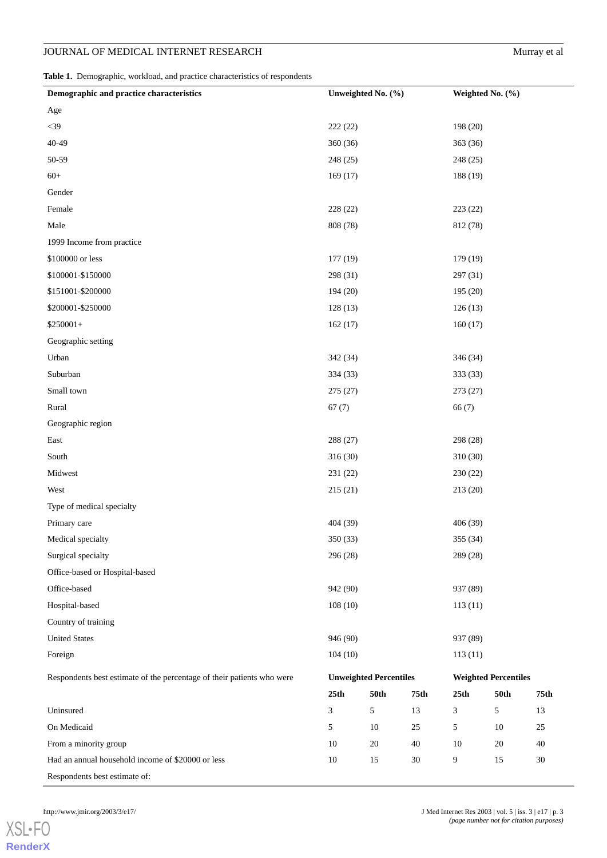<span id="page-2-0"></span>**Table 1.** Demographic, workload, and practice characteristics of respondents

| Demographic and practice characteristics                               | Unweighted No. (%) |                               |      | Weighted No. $(\% )$ |                             |        |
|------------------------------------------------------------------------|--------------------|-------------------------------|------|----------------------|-----------------------------|--------|
| Age                                                                    |                    |                               |      |                      |                             |        |
| $<39$                                                                  | 222(22)            |                               |      | 198 (20)             |                             |        |
| 40-49                                                                  | 360(36)            |                               |      | 363 (36)             |                             |        |
| 50-59                                                                  | 248 (25)           |                               |      | 248 (25)             |                             |        |
| $60+$                                                                  | 169(17)            |                               |      | 188 (19)             |                             |        |
| Gender                                                                 |                    |                               |      |                      |                             |        |
| Female                                                                 | 228 (22)           |                               |      | 223(22)              |                             |        |
| Male                                                                   | 808 (78)           |                               |      | 812 (78)             |                             |        |
| 1999 Income from practice                                              |                    |                               |      |                      |                             |        |
| \$100000 or less                                                       | 177(19)            |                               |      | 179 (19)             |                             |        |
| \$100001-\$150000                                                      | 298 (31)           |                               |      | 297 (31)             |                             |        |
| \$151001-\$200000                                                      | 194 (20)           |                               |      | 195 (20)             |                             |        |
| \$200001-\$250000                                                      | 128(13)            |                               |      | 126(13)              |                             |        |
| $$250001+$                                                             | 162(17)            |                               |      | 160(17)              |                             |        |
| Geographic setting                                                     |                    |                               |      |                      |                             |        |
| Urban                                                                  | 342 (34)           |                               |      | 346 (34)             |                             |        |
| Suburban                                                               | 334 (33)           |                               |      | 333 (33)             |                             |        |
| Small town                                                             | 275(27)            |                               |      | 273 (27)             |                             |        |
| Rural                                                                  | 67(7)              |                               |      | 66(7)                |                             |        |
| Geographic region                                                      |                    |                               |      |                      |                             |        |
| East                                                                   | 288 (27)           |                               |      | 298 (28)             |                             |        |
| South                                                                  | 316 (30)           |                               |      | 310 (30)             |                             |        |
| Midwest                                                                | 231 (22)           |                               |      | 230 (22)             |                             |        |
| West                                                                   | 215(21)            |                               |      | 213(20)              |                             |        |
| Type of medical specialty                                              |                    |                               |      |                      |                             |        |
| Primary care                                                           | 404 (39)           |                               |      | 406 (39)             |                             |        |
| Medical specialty                                                      | 350 (33)           |                               |      | 355 (34)             |                             |        |
| Surgical specialty                                                     | 296 (28)           |                               |      | 289 (28)             |                             |        |
| Office-based or Hospital-based                                         |                    |                               |      |                      |                             |        |
| Office-based                                                           | 942 (90)           |                               |      | 937 (89)             |                             |        |
| Hospital-based                                                         | 108(10)            |                               |      | 113(11)              |                             |        |
| Country of training                                                    |                    |                               |      |                      |                             |        |
| <b>United States</b>                                                   | 946 (90)           |                               |      | 937 (89)             |                             |        |
| Foreign                                                                | 104(10)            |                               |      | 113(11)              |                             |        |
| Respondents best estimate of the percentage of their patients who were |                    | <b>Unweighted Percentiles</b> |      |                      | <b>Weighted Percentiles</b> |        |
|                                                                        | 25th               | <b>50th</b>                   | 75th | 25th                 | 50th                        | 75th   |
| Uninsured                                                              | $\mathfrak{Z}$     | $\mathfrak s$                 | 13   | 3                    | 5                           | 13     |
| On Medicaid                                                            | 5                  | 10                            | 25   | 5                    | 10                          | 25     |
| From a minority group                                                  | 10                 | $20\,$                        | 40   | $10\,$               | $20\,$                      | 40     |
| Had an annual household income of \$20000 or less                      | $10\,$             | 15                            | 30   | 9                    | 15                          | $30\,$ |
| Respondents best estimate of:                                          |                    |                               |      |                      |                             |        |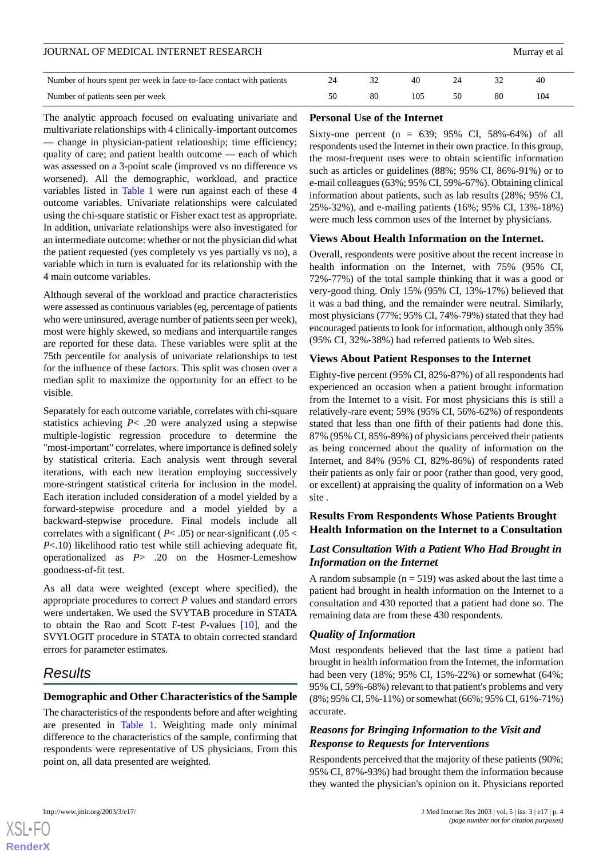#### JOURNAL OF MEDICAL INTERNET RESEARCH MURRAY ET ALL AND MUSIC SERVICE OF MURRAY ET ALL AND MUSIC SERVICE OF MUSIC

| Number of hours spent per week in face-to-face contact with patients |    | 40 |    | 40  |
|----------------------------------------------------------------------|----|----|----|-----|
| Number of patients seen per week                                     | 80 |    | 80 | 104 |

The analytic approach focused on evaluating univariate and multivariate relationships with 4 clinically-important outcomes — change in physician-patient relationship; time efficiency; quality of care; and patient health outcome — each of which was assessed on a 3-point scale (improved vs no difference vs worsened). All the demographic, workload, and practice variables listed in [Table 1](#page-2-0) were run against each of these 4 outcome variables. Univariate relationships were calculated using the chi-square statistic or Fisher exact test as appropriate. In addition, univariate relationships were also investigated for an intermediate outcome: whether or not the physician did what the patient requested (yes completely vs yes partially vs no), a variable which in turn is evaluated for its relationship with the 4 main outcome variables.

Although several of the workload and practice characteristics were assessed as continuous variables (eg, percentage of patients who were uninsured, average number of patients seen per week), most were highly skewed, so medians and interquartile ranges are reported for these data. These variables were split at the 75th percentile for analysis of univariate relationships to test for the influence of these factors. This split was chosen over a median split to maximize the opportunity for an effect to be visible.

Separately for each outcome variable, correlates with chi-square statistics achieving *P*< .20 were analyzed using a stepwise multiple-logistic regression procedure to determine the "most-important" correlates, where importance is defined solely by statistical criteria. Each analysis went through several iterations, with each new iteration employing successively more-stringent statistical criteria for inclusion in the model. Each iteration included consideration of a model yielded by a forward-stepwise procedure and a model yielded by a backward-stepwise procedure. Final models include all correlates with a significant ( $P < .05$ ) or near-significant ( $.05 <$ *P*<.10) likelihood ratio test while still achieving adequate fit, operationalized as *P*> .20 on the Hosmer-Lemeshow goodness-of-fit test.

As all data were weighted (except where specified), the appropriate procedures to correct *P* values and standard errors were undertaken. We used the SVYTAB procedure in STATA to obtain the Rao and Scott F-test *P*-values [\[10](#page-10-8)], and the SVYLOGIT procedure in STATA to obtain corrected standard errors for parameter estimates.

# *Results*

# **Demographic and Other Characteristics of the Sample**

The characteristics of the respondents before and after weighting are presented in [Table 1](#page-2-0). Weighting made only minimal difference to the characteristics of the sample, confirming that respondents were representative of US physicians. From this point on, all data presented are weighted.

### **Personal Use of the Internet**

Sixty-one percent (n =  $639$ ;  $95\%$  CI,  $58\%$ -64%) of all respondents used the Internet in their own practice. In this group, the most-frequent uses were to obtain scientific information such as articles or guidelines (88%; 95% CI, 86%-91%) or to e-mail colleagues (63%; 95% CI, 59%-67%). Obtaining clinical information about patients, such as lab results (28%; 95% CI, 25%-32%), and e-mailing patients (16%; 95% CI, 13%-18%) were much less common uses of the Internet by physicians.

#### **Views About Health Information on the Internet.**

Overall, respondents were positive about the recent increase in health information on the Internet, with 75% (95% CI, 72%-77%) of the total sample thinking that it was a good or very-good thing. Only 15% (95% CI, 13%-17%) believed that it was a bad thing, and the remainder were neutral. Similarly, most physicians (77%; 95% CI, 74%-79%) stated that they had encouraged patients to look for information, although only 35% (95% CI, 32%-38%) had referred patients to Web sites.

#### **Views About Patient Responses to the Internet**

Eighty-five percent (95% CI, 82%-87%) of all respondents had experienced an occasion when a patient brought information from the Internet to a visit. For most physicians this is still a relatively-rare event; 59% (95% CI, 56%-62%) of respondents stated that less than one fifth of their patients had done this. 87% (95% CI, 85%-89%) of physicians perceived their patients as being concerned about the quality of information on the Internet, and 84% (95% CI, 82%-86%) of respondents rated their patients as only fair or poor (rather than good, very good, or excellent) at appraising the quality of information on a Web site *.*

# **Results From Respondents Whose Patients Brought Health Information on the Internet to a Consultation**

# *Last Consultation With a Patient Who Had Brought in Information on the Internet*

A random subsample ( $n = 519$ ) was asked about the last time a patient had brought in health information on the Internet to a consultation and 430 reported that a patient had done so. The remaining data are from these 430 respondents.

# *Quality of Information*

Most respondents believed that the last time a patient had brought in health information from the Internet, the information had been very (18%; 95% CI, 15%-22%) or somewhat (64%; 95% CI, 59%-68%) relevant to that patient's problems and very (8%; 95% CI, 5%-11%) or somewhat (66%; 95% CI, 61%-71%) accurate.

# *Reasons for Bringing Information to the Visit and Response to Requests for Interventions*

Respondents perceived that the majority of these patients (90%; 95% CI, 87%-93%) had brought them the information because they wanted the physician's opinion on it. Physicians reported

```
XSL•FO
RenderX
```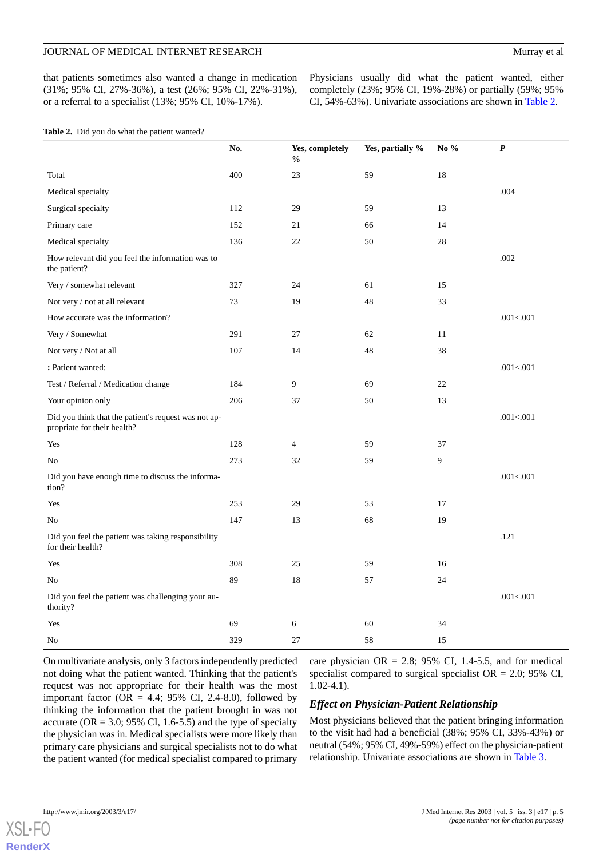that patients sometimes also wanted a change in medication (31%; 95% CI, 27%-36%), a test (26%; 95% CI, 22%-31%), or a referral to a specialist (13%; 95% CI, 10%-17%).

Physicians usually did what the patient wanted, either completely (23%; 95% CI, 19%-28%) or partially (59%; 95% CI, 54%-63%). Univariate associations are shown in [Table 2.](#page-4-0)

<span id="page-4-0"></span>

|                                                                                     | No. | Yes, completely<br>$\%$ | Yes, partially % | No $\%$ | $\boldsymbol{P}$ |
|-------------------------------------------------------------------------------------|-----|-------------------------|------------------|---------|------------------|
| Total                                                                               | 400 | 23                      | 59               | 18      |                  |
| Medical specialty                                                                   |     |                         |                  |         | .004             |
| Surgical specialty                                                                  | 112 | 29                      | 59               | 13      |                  |
| Primary care                                                                        | 152 | 21                      | 66               | 14      |                  |
| Medical specialty                                                                   | 136 | 22                      | 50               | 28      |                  |
| How relevant did you feel the information was to<br>the patient?                    |     |                         |                  |         | .002             |
| Very / somewhat relevant                                                            | 327 | 24                      | 61               | 15      |                  |
| Not very / not at all relevant                                                      | 73  | 19                      | 48               | 33      |                  |
| How accurate was the information?                                                   |     |                         |                  |         | .001<.001        |
| Very / Somewhat                                                                     | 291 | 27                      | 62               | 11      |                  |
| Not very / Not at all                                                               | 107 | 14                      | 48               | 38      |                  |
| : Patient wanted:                                                                   |     |                         |                  |         | .001<.001        |
| Test / Referral / Medication change                                                 | 184 | 9                       | 69               | 22      |                  |
| Your opinion only                                                                   | 206 | 37                      | 50               | 13      |                  |
| Did you think that the patient's request was not ap-<br>propriate for their health? |     |                         |                  |         | .001<.001        |
| Yes                                                                                 | 128 | $\overline{4}$          | 59               | 37      |                  |
| No                                                                                  | 273 | 32                      | 59               | 9       |                  |
| Did you have enough time to discuss the informa-<br>tion?                           |     |                         |                  |         | .001<.001        |
| Yes                                                                                 | 253 | 29                      | 53               | 17      |                  |
| No                                                                                  | 147 | 13                      | 68               | 19      |                  |
| Did you feel the patient was taking responsibility<br>for their health?             |     |                         |                  |         | .121             |
| Yes                                                                                 | 308 | 25                      | 59               | 16      |                  |
| No                                                                                  | 89  | 18                      | 57               | 24      |                  |
| Did you feel the patient was challenging your au-<br>thority?                       |     |                         |                  |         | .001<.001        |
| Yes                                                                                 | 69  | 6                       | 60               | 34      |                  |
| No                                                                                  | 329 | 27                      | 58               | 15      |                  |

On multivariate analysis, only 3 factors independently predicted not doing what the patient wanted. Thinking that the patient's request was not appropriate for their health was the most important factor (OR = 4.4; 95% CI, 2.4-8.0), followed by thinking the information that the patient brought in was not accurate ( $OR = 3.0$ ; 95% CI, 1.6-5.5) and the type of specialty the physician was in. Medical specialists were more likely than primary care physicians and surgical specialists not to do what the patient wanted (for medical specialist compared to primary

care physician  $OR = 2.8$ ; 95% CI, 1.4-5.5, and for medical specialist compared to surgical specialist  $OR = 2.0$ ; 95% CI, 1.02-4.1).

# *Effect on Physician-Patient Relationship*

Most physicians believed that the patient bringing information to the visit had had a beneficial (38%; 95% CI, 33%-43%) or neutral (54%; 95% CI, 49%-59%) effect on the physician-patient relationship. Univariate associations are shown in [Table 3.](#page-5-0)

**[RenderX](http://www.renderx.com/)**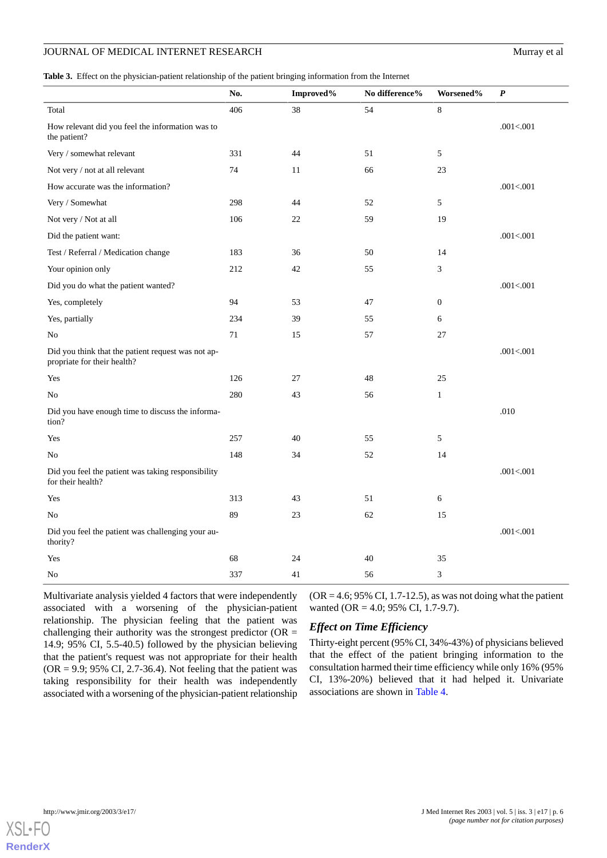<span id="page-5-0"></span>**Table 3.** Effect on the physician-patient relationship of the patient bringing information from the Internet

|                                                                                   | No. | Improved% | No difference% | Worsened%        | $\boldsymbol{P}$ |
|-----------------------------------------------------------------------------------|-----|-----------|----------------|------------------|------------------|
| Total                                                                             | 406 | 38        | 54             | $\,8\,$          |                  |
| How relevant did you feel the information was to<br>the patient?                  |     |           |                |                  | .001<.001        |
| Very / somewhat relevant                                                          | 331 | 44        | 51             | 5                |                  |
| Not very / not at all relevant                                                    | 74  | 11        | 66             | 23               |                  |
| How accurate was the information?                                                 |     |           |                |                  | .001<.001        |
| Very / Somewhat                                                                   | 298 | 44        | 52             | 5                |                  |
| Not very / Not at all                                                             | 106 | 22        | 59             | 19               |                  |
| Did the patient want:                                                             |     |           |                |                  | .001<.001        |
| Test / Referral / Medication change                                               | 183 | 36        | 50             | 14               |                  |
| Your opinion only                                                                 | 212 | 42        | 55             | 3                |                  |
| Did you do what the patient wanted?                                               |     |           |                |                  | .001<.001        |
| Yes, completely                                                                   | 94  | 53        | 47             | $\boldsymbol{0}$ |                  |
| Yes, partially                                                                    | 234 | 39        | 55             | 6                |                  |
| No                                                                                | 71  | 15        | 57             | 27               |                  |
| Did you think that the patient request was not ap-<br>propriate for their health? |     |           |                |                  | .001<.001        |
| Yes                                                                               | 126 | 27        | 48             | 25               |                  |
| No                                                                                | 280 | 43        | 56             | $\mathbf{1}$     |                  |
| Did you have enough time to discuss the informa-<br>tion?                         |     |           |                |                  | $.010$           |
| Yes                                                                               | 257 | 40        | 55             | 5                |                  |
| No                                                                                | 148 | 34        | 52             | 14               |                  |
| Did you feel the patient was taking responsibility<br>for their health?           |     |           |                |                  | .001<.001        |
| Yes                                                                               | 313 | 43        | 51             | 6                |                  |
| No                                                                                | 89  | 23        | 62             | 15               |                  |
| Did you feel the patient was challenging your au-<br>thority?                     |     |           |                |                  | .001<.001        |
| Yes                                                                               | 68  | 24        | 40             | 35               |                  |
| No                                                                                | 337 | 41        | 56             | 3                |                  |

Multivariate analysis yielded 4 factors that were independently associated with a worsening of the physician-patient relationship. The physician feeling that the patient was challenging their authority was the strongest predictor ( $OR =$ 14.9; 95% CI, 5.5-40.5) followed by the physician believing that the patient's request was not appropriate for their health  $(OR = 9.9; 95\% \text{ CI}, 2.7-36.4)$ . Not feeling that the patient was taking responsibility for their health was independently associated with a worsening of the physician-patient relationship

 $(OR = 4.6; 95\% \text{ CI}, 1.7-12.5)$ , as was not doing what the patient wanted (OR = 4.0; 95% CI, 1.7-9.7).

# *Effect on Time Efficiency*

Thirty-eight percent (95% CI, 34%-43%) of physicians believed that the effect of the patient bringing information to the consultation harmed their time efficiency while only 16% (95% CI, 13%-20%) believed that it had helped it. Univariate associations are shown in [Table 4](#page-6-0).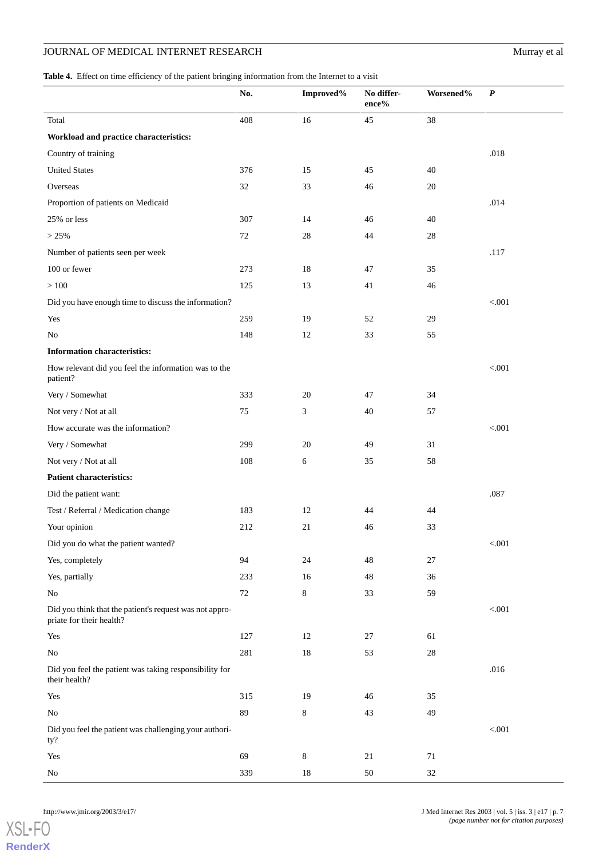<span id="page-6-0"></span>**Table 4.** Effect on time efficiency of the patient bringing information from the Internet to a visit

|                                                                                     | No.    | Improved% | No differ-<br>$\mathbf{ence}\%$ | Worsened% | $\boldsymbol{P}$ |
|-------------------------------------------------------------------------------------|--------|-----------|---------------------------------|-----------|------------------|
| Total                                                                               | 408    | 16        | 45                              | 38        |                  |
| Workload and practice characteristics:                                              |        |           |                                 |           |                  |
| Country of training                                                                 |        |           |                                 |           | .018             |
| <b>United States</b>                                                                | 376    | 15        | 45                              | 40        |                  |
| Overseas                                                                            | 32     | 33        | 46                              | 20        |                  |
| Proportion of patients on Medicaid                                                  |        |           |                                 |           | .014             |
| 25% or less                                                                         | 307    | 14        | 46                              | 40        |                  |
| > 25%                                                                               | 72     | 28        | 44                              | 28        |                  |
| Number of patients seen per week                                                    |        |           |                                 |           | .117             |
| 100 or fewer                                                                        | 273    | 18        | 47                              | 35        |                  |
| >100                                                                                | 125    | 13        | 41                              | 46        |                  |
| Did you have enough time to discuss the information?                                |        |           |                                 |           | $< 001$          |
| Yes                                                                                 | 259    | 19        | 52                              | 29        |                  |
| No                                                                                  | 148    | 12        | 33                              | 55        |                  |
| <b>Information characteristics:</b>                                                 |        |           |                                 |           |                  |
| How relevant did you feel the information was to the<br>patient?                    |        |           |                                 |           | $< 001$          |
| Very / Somewhat                                                                     | 333    | 20        | 47                              | 34        |                  |
| Not very / Not at all                                                               | 75     | 3         | 40                              | 57        |                  |
| How accurate was the information?                                                   |        |           |                                 |           | < 0.001          |
| Very / Somewhat                                                                     | 299    | 20        | 49                              | 31        |                  |
| Not very / Not at all                                                               | 108    | 6         | 35                              | 58        |                  |
| <b>Patient characteristics:</b>                                                     |        |           |                                 |           |                  |
| Did the patient want:                                                               |        |           |                                 |           | .087             |
| Test / Referral / Medication change                                                 | 183    | 12        | 44                              | 44        |                  |
| Your opinion                                                                        | 212    | 21        | 46                              | 33        |                  |
| Did you do what the patient wanted?                                                 |        |           |                                 |           | $< 001$          |
| Yes, completely                                                                     | 94     | 24        | 48                              | 27        |                  |
| Yes, partially                                                                      | 233    | 16        | 48                              | $36\,$    |                  |
| No                                                                                  | $72\,$ | $8\,$     | 33                              | 59        |                  |
| Did you think that the patient's request was not appro-<br>priate for their health? |        |           |                                 |           | $< 001$          |
| Yes                                                                                 | 127    | 12        | $27\,$                          | 61        |                  |
| $\rm No$                                                                            | 281    | $18\,$    | 53                              | $28\,$    |                  |
| Did you feel the patient was taking responsibility for<br>their health?             |        |           |                                 |           | .016             |
| Yes                                                                                 | 315    | 19        | 46                              | 35        |                  |
| $\rm No$                                                                            | 89     | $8\,$     | 43                              | 49        |                  |
| Did you feel the patient was challenging your authori-<br>ty?                       |        |           |                                 |           | $< 001$          |
| Yes                                                                                 | 69     | $8\,$     | $21\,$                          | $71\,$    |                  |
| No                                                                                  | 339    | 18        | $50\,$                          | $32\,$    |                  |

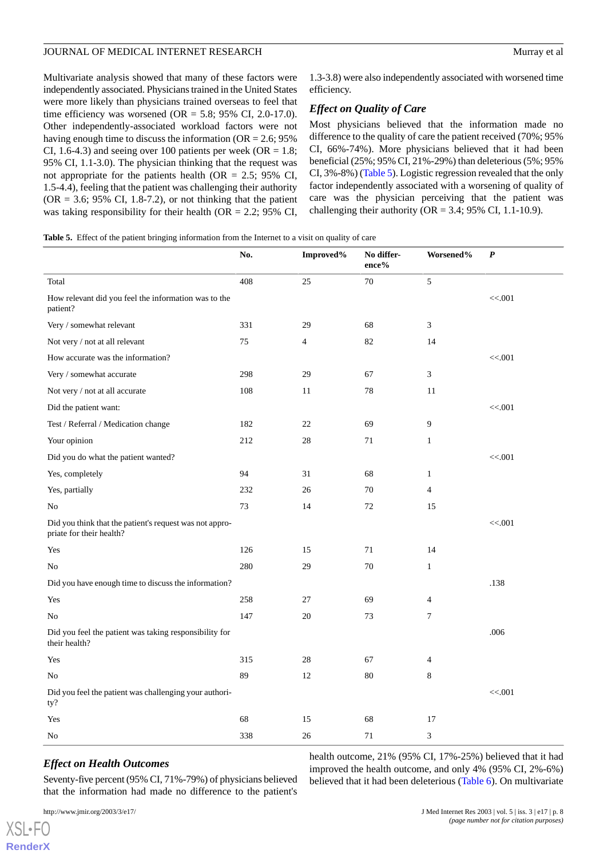Multivariate analysis showed that many of these factors were independently associated. Physicians trained in the United States were more likely than physicians trained overseas to feel that time efficiency was worsened (OR = 5.8; 95% CI, 2.0-17.0). Other independently-associated workload factors were not having enough time to discuss the information ( $OR = 2.6$ ; 95% CI, 1.6-4.3) and seeing over 100 patients per week (OR =  $1.8$ ; 95% CI, 1.1-3.0). The physician thinking that the request was not appropriate for the patients health (OR =  $2.5$ ; 95% CI, 1.5-4.4), feeling that the patient was challenging their authority  $(OR = 3.6; 95\% \text{ CI}, 1.8-7.2),$  or not thinking that the patient was taking responsibility for their health (OR = 2.2; 95% CI,

1.3-3.8) were also independently associated with worsened time efficiency.

### *Effect on Quality of Care*

Most physicians believed that the information made no difference to the quality of care the patient received (70%; 95% CI, 66%-74%). More physicians believed that it had been beneficial (25%; 95% CI, 21%-29%) than deleterious (5%; 95% CI, 3%-8%) [\(Table 5\)](#page-7-0). Logistic regression revealed that the only factor independently associated with a worsening of quality of care was the physician perceiving that the patient was challenging their authority ( $OR = 3.4$ ; 95% CI, 1.1-10.9).

<span id="page-7-0"></span>

|                                                                                     | No. | Improved% | No differ-<br>ence% | Worsened%      | $\boldsymbol{P}$ |
|-------------------------------------------------------------------------------------|-----|-----------|---------------------|----------------|------------------|
| Total                                                                               | 408 | 25        | 70                  | 5              |                  |
| How relevant did you feel the information was to the<br>patient?                    |     |           |                     |                | << .001          |
| Very / somewhat relevant                                                            | 331 | 29        | 68                  | 3              |                  |
| Not very / not at all relevant                                                      | 75  | 4         | 82                  | 14             |                  |
| How accurate was the information?                                                   |     |           |                     |                | << .001          |
| Very / somewhat accurate                                                            | 298 | 29        | 67                  | 3              |                  |
| Not very / not at all accurate                                                      | 108 | 11        | 78                  | 11             |                  |
| Did the patient want:                                                               |     |           |                     |                | << .001          |
| Test / Referral / Medication change                                                 | 182 | 22        | 69                  | 9              |                  |
| Your opinion                                                                        | 212 | 28        | 71                  | $\mathbf{1}$   |                  |
| Did you do what the patient wanted?                                                 |     |           |                     |                | << .001          |
| Yes, completely                                                                     | 94  | 31        | 68                  | $\mathbf{1}$   |                  |
| Yes, partially                                                                      | 232 | 26        | 70                  | 4              |                  |
| No                                                                                  | 73  | 14        | 72                  | 15             |                  |
| Did you think that the patient's request was not appro-<br>priate for their health? |     |           |                     |                | << .001          |
| Yes                                                                                 | 126 | 15        | 71                  | 14             |                  |
| No                                                                                  | 280 | 29        | 70                  | $\mathbf{1}$   |                  |
| Did you have enough time to discuss the information?                                |     |           |                     |                | .138             |
| Yes                                                                                 | 258 | 27        | 69                  | $\overline{4}$ |                  |
| No                                                                                  | 147 | 20        | 73                  | $\tau$         |                  |
| Did you feel the patient was taking responsibility for<br>their health?             |     |           |                     |                | .006             |
| Yes                                                                                 | 315 | 28        | 67                  | $\overline{4}$ |                  |
| No                                                                                  | 89  | 12        | 80                  | 8              |                  |
| Did you feel the patient was challenging your authori-<br>ty?                       |     |           |                     |                | << .001          |
| Yes                                                                                 | 68  | 15        | 68                  | 17             |                  |
| No                                                                                  | 338 | 26        | 71                  | 3              |                  |

# *Effect on Health Outcomes*

Seventy-five percent (95% CI, 71%-79%) of physicians believed that the information had made no difference to the patient's

health outcome, 21% (95% CI, 17%-25%) believed that it had improved the health outcome, and only 4% (95% CI, 2%-6%) believed that it had been deleterious ([Table 6](#page-8-0)). On multivariate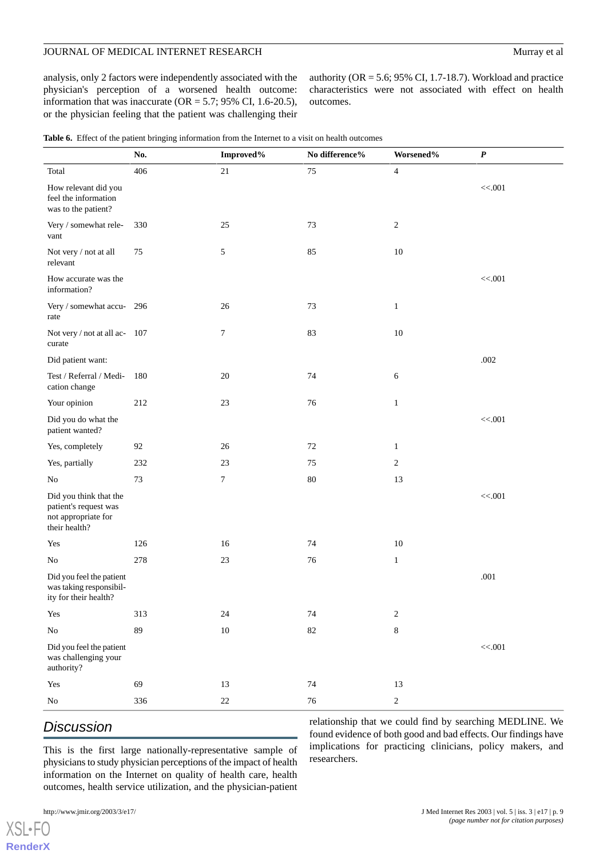analysis, only 2 factors were independently associated with the physician's perception of a worsened health outcome: information that was inaccurate ( $OR = 5.7$ ; 95% CI, 1.6-20.5), or the physician feeling that the patient was challenging their

authority (OR = 5.6; 95% CI, 1.7-18.7). Workload and practice characteristics were not associated with effect on health outcomes.

<span id="page-8-0"></span>

|  |  |  |  | <b>Table 6.</b> Effect of the patient bringing information from the Internet to a visit on health outcomes |  |  |  |  |  |
|--|--|--|--|------------------------------------------------------------------------------------------------------------|--|--|--|--|--|
|--|--|--|--|------------------------------------------------------------------------------------------------------------|--|--|--|--|--|

|                                                                                         | No. | Improved%  | No difference% | Worsened%        | $\pmb{P}$ |
|-----------------------------------------------------------------------------------------|-----|------------|----------------|------------------|-----------|
| Total                                                                                   | 406 | $21\,$     | 75             | $\overline{4}$   |           |
| How relevant did you<br>feel the information<br>was to the patient?                     |     |            |                |                  | << .001   |
| Very / somewhat rele-<br>vant                                                           | 330 | 25         | 73             | $\boldsymbol{2}$ |           |
| Not very / not at all<br>relevant                                                       | 75  | $\sqrt{5}$ | 85             | 10               |           |
| How accurate was the<br>information?                                                    |     |            |                |                  | << .001   |
| Very / somewhat accu- 296<br>rate                                                       |     | 26         | 73             | $\mathbf{1}$     |           |
| Not very / not at all ac- 107<br>curate                                                 |     | 7          | 83             | $10\,$           |           |
| Did patient want:                                                                       |     |            |                |                  | .002      |
| Test / Referral / Medi-<br>cation change                                                | 180 | 20         | 74             | 6                |           |
| Your opinion                                                                            | 212 | 23         | 76             | $\mathbf{1}$     |           |
| Did you do what the<br>patient wanted?                                                  |     |            |                |                  | << .001   |
| Yes, completely                                                                         | 92  | 26         | 72             | $\mathbf{1}$     |           |
| Yes, partially                                                                          | 232 | 23         | 75             | $\sqrt{2}$       |           |
| No                                                                                      | 73  | $\tau$     | $80\,$         | 13               |           |
| Did you think that the<br>patient's request was<br>not appropriate for<br>their health? |     |            |                |                  | << .001   |
| Yes                                                                                     | 126 | 16         | 74             | 10               |           |
| No                                                                                      | 278 | $23\,$     | 76             | $\mathbf{1}$     |           |
| Did you feel the patient<br>was taking responsibil-<br>ity for their health?            |     |            |                |                  | .001      |
| Yes                                                                                     | 313 | $24\,$     | 74             | $\overline{c}$   |           |
| $\rm No$                                                                                | 89  | $10\,$     | $82\,$         | $\,8\,$          |           |
| Did you feel the patient<br>was challenging your<br>authority?                          |     |            |                |                  | $<<.001$  |
| Yes                                                                                     | 69  | 13         | $74\,$         | $13\,$           |           |
| $\rm No$                                                                                | 336 | $22\,$     | $76\,$         | $\sqrt{2}$       |           |

# *Discussion*

relationship that we could find by searching MEDLINE. We found evidence of both good and bad effects. Our findings have implications for practicing clinicians, policy makers, and researchers.

This is the first large nationally-representative sample of physicians to study physician perceptions of the impact of health information on the Internet on quality of health care, health outcomes, health service utilization, and the physician-patient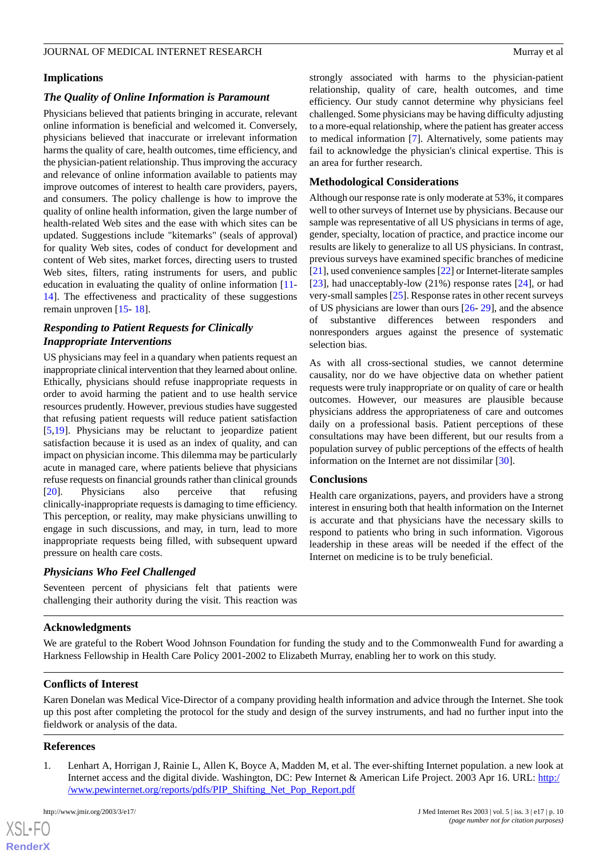#### **Implications**

# *The Quality of Online Information is Paramount*

Physicians believed that patients bringing in accurate, relevant online information is beneficial and welcomed it. Conversely, physicians believed that inaccurate or irrelevant information harms the quality of care, health outcomes, time efficiency, and the physician-patient relationship. Thus improving the accuracy and relevance of online information available to patients may improve outcomes of interest to health care providers, payers, and consumers. The policy challenge is how to improve the quality of online health information, given the large number of health-related Web sites and the ease with which sites can be updated. Suggestions include "kitemarks" (seals of approval) for quality Web sites, codes of conduct for development and content of Web sites, market forces, directing users to trusted Web sites, filters, rating instruments for users, and public education in evaluating the quality of online information [\[11](#page-10-9)- [14](#page-10-10)]. The effectiveness and practicality of these suggestions remain unproven [\[15](#page-10-11)- [18\]](#page-10-12).

# *Responding to Patient Requests for Clinically Inappropriate Interventions*

US physicians may feel in a quandary when patients request an inappropriate clinical intervention that they learned about online. Ethically, physicians should refuse inappropriate requests in order to avoid harming the patient and to use health service resources prudently. However, previous studies have suggested that refusing patient requests will reduce patient satisfaction [[5](#page-10-3)[,19](#page-10-13)]. Physicians may be reluctant to jeopardize patient satisfaction because it is used as an index of quality, and can impact on physician income. This dilemma may be particularly acute in managed care, where patients believe that physicians refuse requests on financial grounds rather than clinical grounds [[20\]](#page-10-14). Physicians also perceive that refusing clinically-inappropriate requests is damaging to time efficiency. This perception, or reality, may make physicians unwilling to engage in such discussions, and may, in turn, lead to more inappropriate requests being filled, with subsequent upward pressure on health care costs.

# *Physicians Who Feel Challenged*

Seventeen percent of physicians felt that patients were challenging their authority during the visit. This reaction was

strongly associated with harms to the physician-patient relationship, quality of care, health outcomes, and time efficiency. Our study cannot determine why physicians feel challenged. Some physicians may be having difficulty adjusting to a more-equal relationship, where the patient has greater access to medical information [\[7](#page-10-5)]. Alternatively, some patients may fail to acknowledge the physician's clinical expertise. This is an area for further research.

# **Methodological Considerations**

Although our response rate is only moderate at 53%, it compares well to other surveys of Internet use by physicians. Because our sample was representative of all US physicians in terms of age, gender, specialty, location of practice, and practice income our results are likely to generalize to all US physicians. In contrast, previous surveys have examined specific branches of medicine [[21\]](#page-10-15), used convenience samples [\[22](#page-10-16)] or Internet-literate samples [[23\]](#page-10-17), had unacceptably-low (21%) response rates [\[24](#page-10-18)], or had very-small samples [[25\]](#page-10-19). Response rates in other recent surveys of US physicians are lower than ours [[26-](#page-10-20) [29\]](#page-11-0), and the absence of substantive differences between responders and nonresponders argues against the presence of systematic selection bias.

As with all cross-sectional studies, we cannot determine causality, nor do we have objective data on whether patient requests were truly inappropriate or on quality of care or health outcomes. However, our measures are plausible because physicians address the appropriateness of care and outcomes daily on a professional basis. Patient perceptions of these consultations may have been different, but our results from a population survey of public perceptions of the effects of health information on the Internet are not dissimilar [\[30](#page-11-1)].

#### **Conclusions**

Health care organizations, payers, and providers have a strong interest in ensuring both that health information on the Internet is accurate and that physicians have the necessary skills to respond to patients who bring in such information. Vigorous leadership in these areas will be needed if the effect of the Internet on medicine is to be truly beneficial.

#### **Acknowledgments**

We are grateful to the Robert Wood Johnson Foundation for funding the study and to the Commonwealth Fund for awarding a Harkness Fellowship in Health Care Policy 2001-2002 to Elizabeth Murray, enabling her to work on this study.

#### <span id="page-9-0"></span>**Conflicts of Interest**

Karen Donelan was Medical Vice-Director of a company providing health information and advice through the Internet. She took up this post after completing the protocol for the study and design of the survey instruments, and had no further input into the fieldwork or analysis of the data.

#### **References**

 $XS$ -FO **[RenderX](http://www.renderx.com/)**

1. Lenhart A, Horrigan J, Rainie L, Allen K, Boyce A, Madden M, et al. The ever-shifting Internet population. a new look at Internet access and the digital divide. Washington, DC: Pew Internet & American Life Project. 2003 Apr 16. URL: [http:/](http://www.pewinternet.org/reports/pdfs/PIP_Shifting_Net_Pop_Report.pdf) [/www.pewinternet.org/reports/pdfs/PIP\\_Shifting\\_Net\\_Pop\\_Report.pdf](http://www.pewinternet.org/reports/pdfs/PIP_Shifting_Net_Pop_Report.pdf)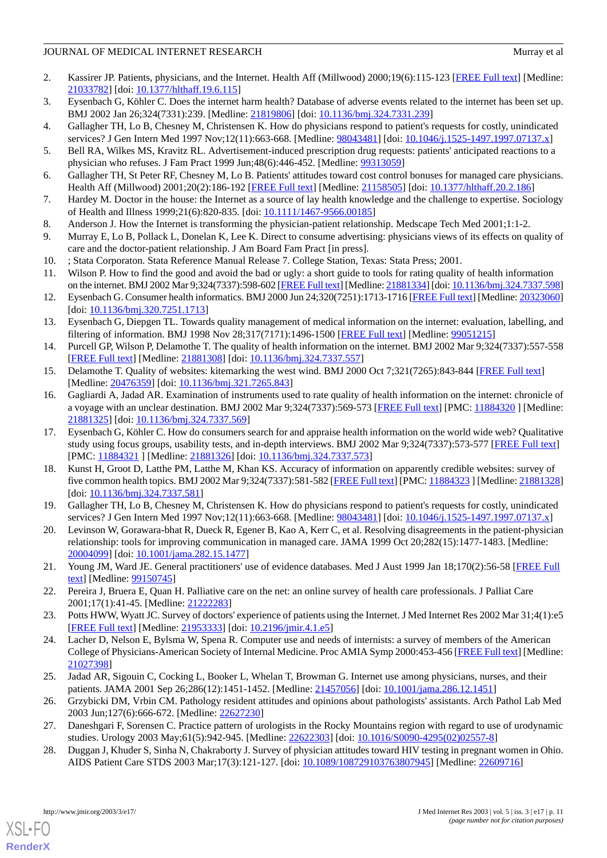- <span id="page-10-0"></span>2. Kassirer JP. Patients, physicians, and the Internet. Health Aff (Millwood) 2000;19(6):115-123 [\[FREE Full text\]](http://content.healthaffairs.org/cgi/pmidlookup?view=reprint&pmid=11192394) [Medline: [21033782](http://www.ncbi.nlm.nih.gov/entrez/query.fcgi?cmd=Retrieve&db=PubMed&list_uids=21033782&dopt=Abstract)] [doi: [10.1377/hlthaff.19.6.115\]](http://dx.doi.org/10.1377/hlthaff.19.6.115)
- <span id="page-10-2"></span><span id="page-10-1"></span>3. Eysenbach G, Köhler C. Does the internet harm health? Database of adverse events related to the internet has been set up. BMJ 2002 Jan 26;324(7331):239. [Medline: [21819806\]](http://www.ncbi.nlm.nih.gov/entrez/query.fcgi?cmd=Retrieve&db=PubMed&list_uids=21819806&dopt=Abstract) [doi: [10.1136/bmj.324.7331.239\]](http://dx.doi.org/10.1136/bmj.324.7331.239)
- <span id="page-10-3"></span>4. Gallagher TH, Lo B, Chesney M, Christensen K. How do physicians respond to patient's requests for costly, unindicated services? J Gen Intern Med 1997 Nov;12(11):663-668. [Medline: [98043481](http://www.ncbi.nlm.nih.gov/entrez/query.fcgi?cmd=Retrieve&db=PubMed&list_uids=98043481&dopt=Abstract)] [doi: [10.1046/j.1525-1497.1997.07137.x](http://dx.doi.org/10.1046/j.1525-1497.1997.07137.x)]
- <span id="page-10-4"></span>5. Bell RA, Wilkes MS, Kravitz RL. Advertisement-induced prescription drug requests: patients' anticipated reactions to a physician who refuses. J Fam Pract 1999 Jun;48(6):446-452. [Medline: [99313059\]](http://www.ncbi.nlm.nih.gov/entrez/query.fcgi?cmd=Retrieve&db=PubMed&list_uids=99313059&dopt=Abstract)
- <span id="page-10-5"></span>6. Gallagher TH, St Peter RF, Chesney M, Lo B. Patients' attitudes toward cost control bonuses for managed care physicians. Health Aff (Millwood) 2001;20(2):186-192 [[FREE Full text](http://content.healthaffairs.org/cgi/pmidlookup?view=reprint&pmid=11260942)] [Medline: [21158505\]](http://www.ncbi.nlm.nih.gov/entrez/query.fcgi?cmd=Retrieve&db=PubMed&list_uids=21158505&dopt=Abstract) [doi: [10.1377/hlthaff.20.2.186](http://dx.doi.org/10.1377/hlthaff.20.2.186)]
- <span id="page-10-6"></span>7. Hardey M. Doctor in the house: the Internet as a source of lay health knowledge and the challenge to expertise. Sociology of Health and Illness 1999;21(6):820-835. [doi: [10.1111/1467-9566.00185](http://dx.doi.org/10.1111/1467-9566.00185)]
- <span id="page-10-7"></span>8. Anderson J. How the Internet is transforming the physician-patient relationship. Medscape Tech Med 2001;1:1-2.
- <span id="page-10-9"></span><span id="page-10-8"></span>9. Murray E, Lo B, Pollack L, Donelan K, Lee K. Direct to consume advertising: physicians views of its effects on quality of care and the doctor-patient relationship. J Am Board Fam Pract [in press].
- 10. ; Stata Corporaton. Stata Reference Manual Release 7. College Station, Texas: Stata Press; 2001.
- 11. Wilson P. How to find the good and avoid the bad or ugly: a short guide to tools for rating quality of health information on the internet. BMJ 2002 Mar 9;324(7337):598-602 [[FREE Full text\]](http://bmj.com/cgi/content/full/324/7337/598) [Medline: [21881334](http://www.ncbi.nlm.nih.gov/entrez/query.fcgi?cmd=Retrieve&db=PubMed&list_uids=21881334&dopt=Abstract)] [doi: [10.1136/bmj.324.7337.598\]](http://dx.doi.org/10.1136/bmj.324.7337.598)
- 12. Eysenbach G. Consumer health informatics. BMJ 2000 Jun 24;320(7251):1713-1716 [[FREE Full text\]](http://bmj.com/cgi/content/full/320/7251/1713) [Medline: [20323060\]](http://www.ncbi.nlm.nih.gov/entrez/query.fcgi?cmd=Retrieve&db=PubMed&list_uids=20323060&dopt=Abstract) [doi: [10.1136/bmj.320.7251.1713](http://dx.doi.org/10.1136/bmj.320.7251.1713)]
- <span id="page-10-10"></span>13. Eysenbach G, Diepgen TL. Towards quality management of medical information on the internet: evaluation, labelling, and filtering of information. BMJ 1998 Nov 28;317(7171):1496-1500 [\[FREE Full text\]](http://bmj.com/cgi/content/full/317/7171/1496) [Medline: [99051215\]](http://www.ncbi.nlm.nih.gov/entrez/query.fcgi?cmd=Retrieve&db=PubMed&list_uids=99051215&dopt=Abstract)
- <span id="page-10-11"></span>14. Purcell GP, Wilson P, Delamothe T. The quality of health information on the internet. BMJ 2002 Mar 9;324(7337):557-558 [[FREE Full text](http://bmj.com/cgi/content/full/324/7337/557)] [Medline: [21881308](http://www.ncbi.nlm.nih.gov/entrez/query.fcgi?cmd=Retrieve&db=PubMed&list_uids=21881308&dopt=Abstract)] [doi: [10.1136/bmj.324.7337.557\]](http://dx.doi.org/10.1136/bmj.324.7337.557)
- 15. Delamothe T. Quality of websites: kitemarking the west wind. BMJ 2000 Oct 7;321(7265):843-844 [\[FREE Full text\]](http://bmj.com/cgi/content/full/321/7265/843) [Medline: [20476359](http://www.ncbi.nlm.nih.gov/entrez/query.fcgi?cmd=Retrieve&db=PubMed&list_uids=20476359&dopt=Abstract)] [doi: [10.1136/bmj.321.7265.843](http://dx.doi.org/10.1136/bmj.321.7265.843)]
- 16. Gagliardi A, Jadad AR. Examination of instruments used to rate quality of health information on the internet: chronicle of a voyage with an unclear destination. BMJ 2002 Mar 9;324(7337):569-573 [\[FREE Full text](http://bmj.com/cgi/content/full/324/7337/569)] [PMC: [11884320](http://www.pubmedcentral.nih.gov/articlerender.fcgi?tool=pubmed&pubmedid=11884320) ] [Medline: [21881325](http://www.ncbi.nlm.nih.gov/entrez/query.fcgi?cmd=Retrieve&db=PubMed&list_uids=21881325&dopt=Abstract)] [doi: [10.1136/bmj.324.7337.569](http://dx.doi.org/10.1136/bmj.324.7337.569)]
- <span id="page-10-12"></span>17. Eysenbach G, Köhler C. How do consumers search for and appraise health information on the world wide web? Qualitative study using focus groups, usability tests, and in-depth interviews. BMJ 2002 Mar 9;324(7337):573-577 [\[FREE Full text\]](http://bmj.com/cgi/content/full/324/7337/573) [PMC: [11884321](http://www.pubmedcentral.nih.gov/articlerender.fcgi?tool=pubmed&pubmedid=11884321) ] [Medline: [21881326](http://www.ncbi.nlm.nih.gov/entrez/query.fcgi?cmd=Retrieve&db=PubMed&list_uids=21881326&dopt=Abstract)] [doi: [10.1136/bmj.324.7337.573](http://dx.doi.org/10.1136/bmj.324.7337.573)]
- <span id="page-10-14"></span><span id="page-10-13"></span>18. Kunst H, Groot D, Latthe PM, Latthe M, Khan KS. Accuracy of information on apparently credible websites: survey of five common health topics. BMJ 2002 Mar 9;324(7337):581-582 [\[FREE Full text\]](http://bmj.com/cgi/content/full/324/7337/581) [PMC: [11884323](http://www.pubmedcentral.nih.gov/articlerender.fcgi?tool=pubmed&pubmedid=11884323) ] [Medline: [21881328](http://www.ncbi.nlm.nih.gov/entrez/query.fcgi?cmd=Retrieve&db=PubMed&list_uids=21881328&dopt=Abstract)] [doi: [10.1136/bmj.324.7337.581](http://dx.doi.org/10.1136/bmj.324.7337.581)]
- <span id="page-10-15"></span>19. Gallagher TH, Lo B, Chesney M, Christensen K. How do physicians respond to patient's requests for costly, unindicated services? J Gen Intern Med 1997 Nov;12(11):663-668. [Medline: [98043481](http://www.ncbi.nlm.nih.gov/entrez/query.fcgi?cmd=Retrieve&db=PubMed&list_uids=98043481&dopt=Abstract)] [doi: [10.1046/j.1525-1497.1997.07137.x](http://dx.doi.org/10.1046/j.1525-1497.1997.07137.x)]
- <span id="page-10-16"></span>20. Levinson W, Gorawara-bhat R, Dueck R, Egener B, Kao A, Kerr C, et al. Resolving disagreements in the patient-physician relationship: tools for improving communication in managed care. JAMA 1999 Oct 20;282(15):1477-1483. [Medline: [20004099](http://www.ncbi.nlm.nih.gov/entrez/query.fcgi?cmd=Retrieve&db=PubMed&list_uids=20004099&dopt=Abstract)] [doi: [10.1001/jama.282.15.1477\]](http://dx.doi.org/10.1001/jama.282.15.1477)
- <span id="page-10-18"></span><span id="page-10-17"></span>21. Young JM, Ward JE. General practitioners' use of evidence databases. Med J Aust 1999 Jan 18;170(2):56-58 [\[FREE Full](http://www.mja.com.au/public/issues/jan18/young/young.html) [text](http://www.mja.com.au/public/issues/jan18/young/young.html)] [Medline: [99150745](http://www.ncbi.nlm.nih.gov/entrez/query.fcgi?cmd=Retrieve&db=PubMed&list_uids=99150745&dopt=Abstract)]
- 22. Pereira J, Bruera E, Quan H. Palliative care on the net: an online survey of health care professionals. J Palliat Care 2001;17(1):41-45. [Medline: [21222283](http://www.ncbi.nlm.nih.gov/entrez/query.fcgi?cmd=Retrieve&db=PubMed&list_uids=21222283&dopt=Abstract)]
- <span id="page-10-19"></span>23. Potts HWW, Wyatt JC. Survey of doctors' experience of patients using the Internet. J Med Internet Res 2002 Mar 31;4(1):e5 [[FREE Full text](http://www.jmir.org/2002/1/e5/)] [Medline: [21953333](http://www.ncbi.nlm.nih.gov/entrez/query.fcgi?cmd=Retrieve&db=PubMed&list_uids=21953333&dopt=Abstract)] [doi: [10.2196/jmir.4.1.e5\]](http://dx.doi.org/10.2196/jmir.4.1.e5)
- <span id="page-10-20"></span>24. Lacher D, Nelson E, Bylsma W, Spena R. Computer use and needs of internists: a survey of members of the American College of Physicians-American Society of Internal Medicine. Proc AMIA Symp 2000:453-456 [\[FREE Full text](http://www.amia.org/pubs/symposia/D200043.PDF)] [Medline: [21027398](http://www.ncbi.nlm.nih.gov/entrez/query.fcgi?cmd=Retrieve&db=PubMed&list_uids=21027398&dopt=Abstract)]
- 25. Jadad AR, Sigouin C, Cocking L, Booker L, Whelan T, Browman G. Internet use among physicians, nurses, and their patients. JAMA 2001 Sep 26;286(12):1451-1452. [Medline: [21457056](http://www.ncbi.nlm.nih.gov/entrez/query.fcgi?cmd=Retrieve&db=PubMed&list_uids=21457056&dopt=Abstract)] [doi: [10.1001/jama.286.12.1451\]](http://dx.doi.org/10.1001/jama.286.12.1451)
- 26. Grzybicki DM, Vrbin CM. Pathology resident attitudes and opinions about pathologists' assistants. Arch Pathol Lab Med 2003 Jun;127(6):666-672. [Medline: [22627230](http://www.ncbi.nlm.nih.gov/entrez/query.fcgi?cmd=Retrieve&db=PubMed&list_uids=22627230&dopt=Abstract)]
- 27. Daneshgari F, Sorensen C. Practice pattern of urologists in the Rocky Mountains region with regard to use of urodynamic studies. Urology 2003 May;61(5):942-945. [Medline: [22622303\]](http://www.ncbi.nlm.nih.gov/entrez/query.fcgi?cmd=Retrieve&db=PubMed&list_uids=22622303&dopt=Abstract) [doi: [10.1016/S0090-4295\(02\)02557-8\]](http://dx.doi.org/10.1016/S0090-4295(02)02557-8)
- 28. Duggan J, Khuder S, Sinha N, Chakraborty J. Survey of physician attitudes toward HIV testing in pregnant women in Ohio. AIDS Patient Care STDS 2003 Mar;17(3):121-127. [doi: [10.1089/108729103763807945](http://dx.doi.org/10.1089/108729103763807945)] [Medline: [22609716\]](http://www.ncbi.nlm.nih.gov/entrez/query.fcgi?cmd=Retrieve&db=PubMed&list_uids=22609716&dopt=Abstract)